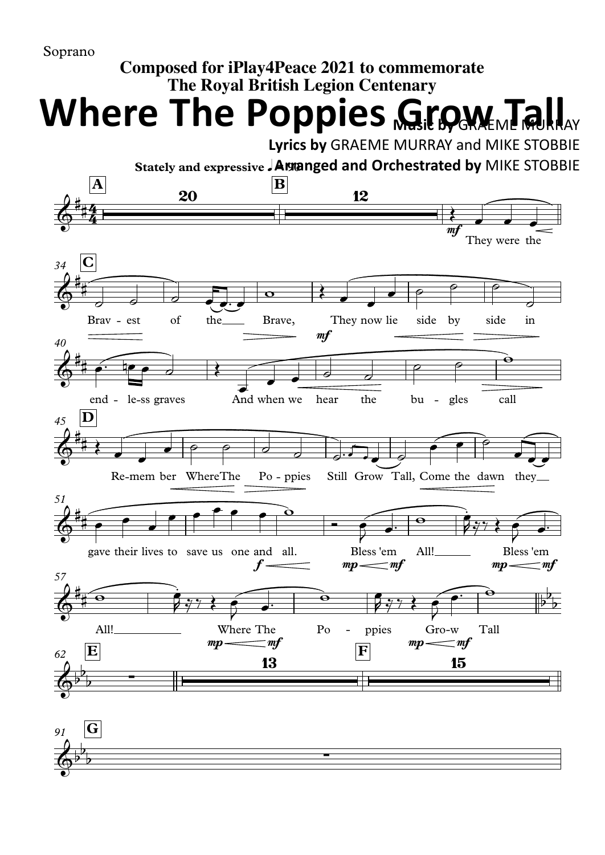## **Composed for iPlay4Peace 2021 to commemorate The Royal British Legion Centenary**

**Where The Poppies Grow Tall** 

**Lyrics by** GRAEME MURRAY and MIKE STOBBIE



*91* **G**  $\phi^{\flat}$  $\overline{b}$  $\overline{)}$